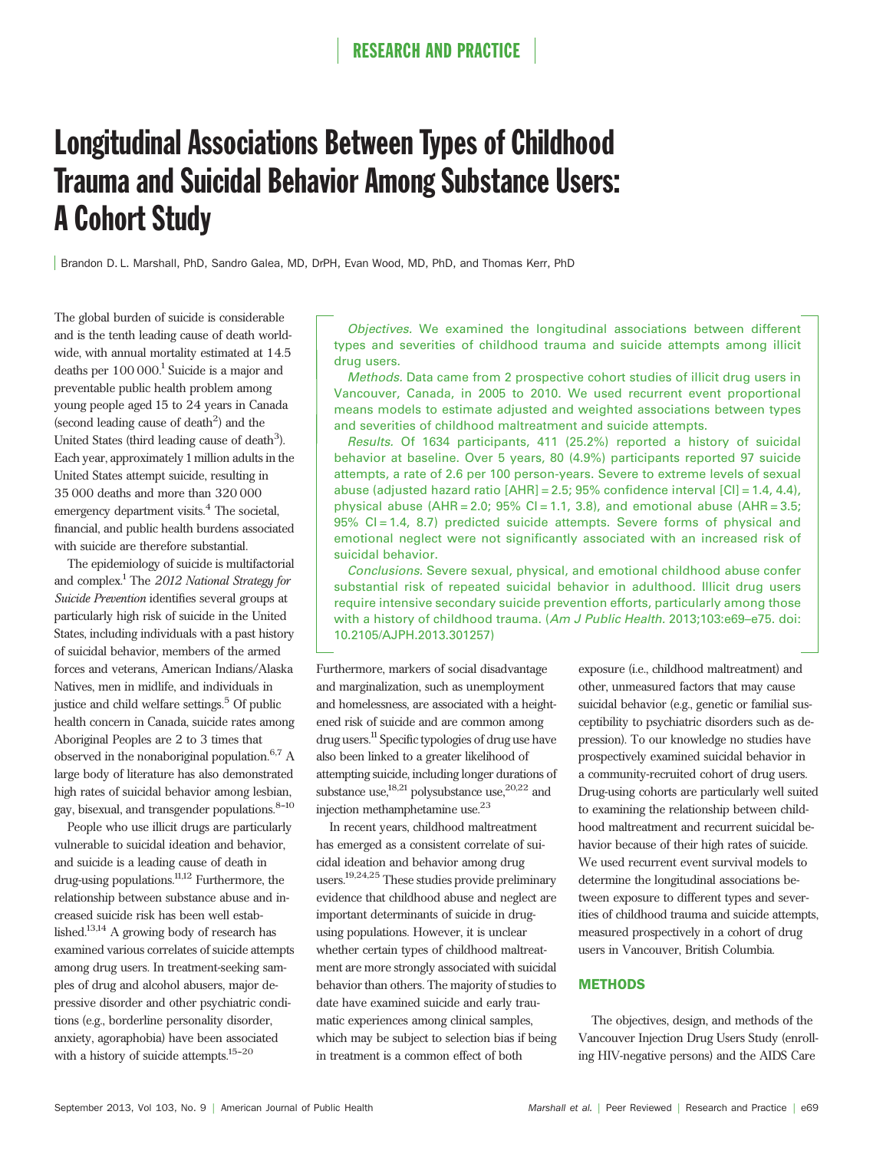# Longitudinal Associations Between Types of Childhood Trauma and Suicidal Behavior Among Substance Users: A Cohort Study

Brandon D. L. Marshall, PhD, Sandro Galea, MD, DrPH, Evan Wood, MD, PhD, and Thomas Kerr, PhD

The global burden of suicide is considerable and is the tenth leading cause of death worldwide, with annual mortality estimated at 14.5 deaths per  $100 000$ <sup>1</sup> Suicide is a major and preventable public health problem among young people aged 15 to 24 years in Canada  $\left(\text{second leading cause of death}^2\right)$  and the United States (third leading cause of death<sup>3</sup>). Each year, approximately 1million adults in the United States attempt suicide, resulting in 35 000 deaths and more than 320 000 emergency department visits.<sup>4</sup> The societal, financial, and public health burdens associated with suicide are therefore substantial.

The epidemiology of suicide is multifactorial and complex.<sup>1</sup> The 2012 National Strategy for Suicide Prevention identifies several groups at particularly high risk of suicide in the United States, including individuals with a past history of suicidal behavior, members of the armed forces and veterans, American Indians/Alaska Natives, men in midlife, and individuals in justice and child welfare settings.<sup>5</sup> Of public health concern in Canada, suicide rates among Aboriginal Peoples are 2 to 3 times that observed in the nonaboriginal population.6,7 A large body of literature has also demonstrated high rates of suicidal behavior among lesbian, gay, bisexual, and transgender populations. $8-10$ 

People who use illicit drugs are particularly vulnerable to suicidal ideation and behavior, and suicide is a leading cause of death in drug-using populations.11,12 Furthermore, the relationship between substance abuse and increased suicide risk has been well established.13,14 A growing body of research has examined various correlates of suicide attempts among drug users. In treatment-seeking samples of drug and alcohol abusers, major depressive disorder and other psychiatric conditions (e.g., borderline personality disorder, anxiety, agoraphobia) have been associated with a history of suicide attempts. $15-20$ 

Objectives. We examined the longitudinal associations between different types and severities of childhood trauma and suicide attempts among illicit drug users.

Methods. Data came from 2 prospective cohort studies of illicit drug users in Vancouver, Canada, in 2005 to 2010. We used recurrent event proportional means models to estimate adjusted and weighted associations between types and severities of childhood maltreatment and suicide attempts.

Results. Of 1634 participants, 411 (25.2%) reported a history of suicidal behavior at baseline. Over 5 years, 80 (4.9%) participants reported 97 suicide attempts, a rate of 2.6 per 100 person-years. Severe to extreme levels of sexual abuse (adjusted hazard ratio  $[AHR] = 2.5$ ; 95% confidence interval  $[CI] = 1.4, 4.4$ ), physical abuse (AHR = 2.0; 95% CI = 1.1, 3.8), and emotional abuse (AHR = 3.5; 95% CI = 1.4, 8.7) predicted suicide attempts. Severe forms of physical and emotional neglect were not significantly associated with an increased risk of suicidal behavior.

Conclusions. Severe sexual, physical, and emotional childhood abuse confer substantial risk of repeated suicidal behavior in adulthood. Illicit drug users require intensive secondary suicide prevention efforts, particularly among those with a history of childhood trauma. (Am J Public Health. 2013;103:e69-e75. doi: 10.2105/AJPH.2013.301257)

Furthermore, markers of social disadvantage and marginalization, such as unemployment and homelessness, are associated with a heightened risk of suicide and are common among drug users.<sup>11</sup> Specific typologies of drug use have also been linked to a greater likelihood of attempting suicide, including longer durations of substance use,<sup>18,21</sup> polysubstance use,<sup>20,22</sup> and injection methamphetamine use.23

In recent years, childhood maltreatment has emerged as a consistent correlate of suicidal ideation and behavior among drug users.19,24,25 These studies provide preliminary evidence that childhood abuse and neglect are important determinants of suicide in drugusing populations. However, it is unclear whether certain types of childhood maltreatment are more strongly associated with suicidal behavior than others. The majority of studies to date have examined suicide and early traumatic experiences among clinical samples, which may be subject to selection bias if being in treatment is a common effect of both

exposure (i.e., childhood maltreatment) and other, unmeasured factors that may cause suicidal behavior (e.g., genetic or familial susceptibility to psychiatric disorders such as depression). To our knowledge no studies have prospectively examined suicidal behavior in a community-recruited cohort of drug users. Drug-using cohorts are particularly well suited to examining the relationship between childhood maltreatment and recurrent suicidal behavior because of their high rates of suicide. We used recurrent event survival models to determine the longitudinal associations between exposure to different types and severities of childhood trauma and suicide attempts, measured prospectively in a cohort of drug users in Vancouver, British Columbia.

### METHODS

The objectives, design, and methods of the Vancouver Injection Drug Users Study (enrolling HIV-negative persons) and the AIDS Care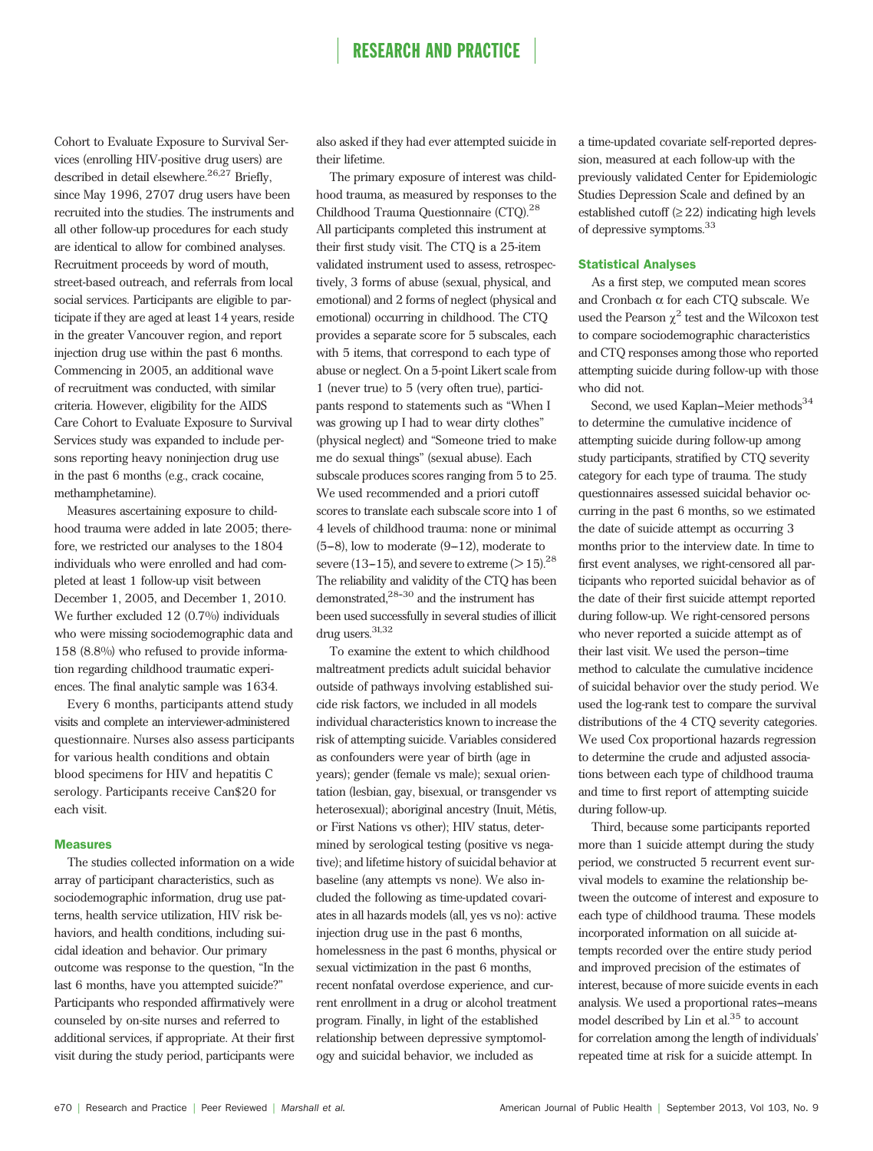Cohort to Evaluate Exposure to Survival Services (enrolling HIV-positive drug users) are described in detail elsewhere.<sup>26,27</sup> Briefly, since May 1996, 2707 drug users have been recruited into the studies. The instruments and all other follow-up procedures for each study are identical to allow for combined analyses. Recruitment proceeds by word of mouth, street-based outreach, and referrals from local social services. Participants are eligible to participate if they are aged at least 14 years, reside in the greater Vancouver region, and report injection drug use within the past 6 months. Commencing in 2005, an additional wave of recruitment was conducted, with similar criteria. However, eligibility for the AIDS Care Cohort to Evaluate Exposure to Survival Services study was expanded to include persons reporting heavy noninjection drug use in the past 6 months (e.g., crack cocaine, methamphetamine).

Measures ascertaining exposure to childhood trauma were added in late 2005; therefore, we restricted our analyses to the 1804 individuals who were enrolled and had completed at least 1 follow-up visit between December 1, 2005, and December 1, 2010. We further excluded 12 (0.7%) individuals who were missing sociodemographic data and 158 (8.8%) who refused to provide information regarding childhood traumatic experiences. The final analytic sample was 1634.

Every 6 months, participants attend study visits and complete an interviewer-administered questionnaire. Nurses also assess participants for various health conditions and obtain blood specimens for HIV and hepatitis C serology. Participants receive Can\$20 for each visit.

#### Measures

The studies collected information on a wide array of participant characteristics, such as sociodemographic information, drug use patterns, health service utilization, HIV risk behaviors, and health conditions, including suicidal ideation and behavior. Our primary outcome was response to the question, "In the last 6 months, have you attempted suicide?" Participants who responded affirmatively were counseled by on-site nurses and referred to additional services, if appropriate. At their first visit during the study period, participants were

also asked if they had ever attempted suicide in their lifetime.

The primary exposure of interest was childhood trauma, as measured by responses to the Childhood Trauma Questionnaire (CTQ).<sup>28</sup> All participants completed this instrument at their first study visit. The CTQ is a 25-item validated instrument used to assess, retrospectively, 3 forms of abuse (sexual, physical, and emotional) and 2 forms of neglect (physical and emotional) occurring in childhood. The CTQ provides a separate score for 5 subscales, each with 5 items, that correspond to each type of abuse or neglect. On a 5-point Likert scale from 1 (never true) to 5 (very often true), participants respond to statements such as "When I was growing up I had to wear dirty clothes" (physical neglect) and "Someone tried to make me do sexual things" (sexual abuse). Each subscale produces scores ranging from 5 to 25. We used recommended and a priori cutoff scores to translate each subscale score into 1 of 4 levels of childhood trauma: none or minimal  $(5-8)$ , low to moderate  $(9-12)$ , moderate to severe (13-15), and severe to extreme ( $>$  15).<sup>28</sup> The reliability and validity of the CTQ has been demonstrated, $28-30$  and the instrument has been used successfully in several studies of illicit drug users.<sup>31,32</sup>

To examine the extent to which childhood maltreatment predicts adult suicidal behavior outside of pathways involving established suicide risk factors, we included in all models individual characteristics known to increase the risk of attempting suicide. Variables considered as confounders were year of birth (age in years); gender (female vs male); sexual orientation (lesbian, gay, bisexual, or transgender vs heterosexual); aboriginal ancestry (Inuit, Métis, or First Nations vs other); HIV status, determined by serological testing (positive vs negative); and lifetime history of suicidal behavior at baseline (any attempts vs none). We also included the following as time-updated covariates in all hazards models (all, yes vs no): active injection drug use in the past 6 months, homelessness in the past 6 months, physical or sexual victimization in the past 6 months, recent nonfatal overdose experience, and current enrollment in a drug or alcohol treatment program. Finally, in light of the established relationship between depressive symptomology and suicidal behavior, we included as

a time-updated covariate self-reported depression, measured at each follow-up with the previously validated Center for Epidemiologic Studies Depression Scale and defined by an established cutoff  $(\geq 22)$  indicating high levels of depressive symptoms.<sup>33</sup>

### Statistical Analyses

As a first step, we computed mean scores and Cronbach  $\alpha$  for each CTQ subscale. We used the Pearson  $\chi^2$  test and the Wilcoxon test to compare sociodemographic characteristics and CTQ responses among those who reported attempting suicide during follow-up with those who did not.

Second, we used Kaplan--Meier methods $34$ to determine the cumulative incidence of attempting suicide during follow-up among study participants, stratified by CTQ severity category for each type of trauma. The study questionnaires assessed suicidal behavior occurring in the past 6 months, so we estimated the date of suicide attempt as occurring 3 months prior to the interview date. In time to first event analyses, we right-censored all participants who reported suicidal behavior as of the date of their first suicide attempt reported during follow-up. We right-censored persons who never reported a suicide attempt as of their last visit. We used the person-time method to calculate the cumulative incidence of suicidal behavior over the study period. We used the log-rank test to compare the survival distributions of the 4 CTQ severity categories. We used Cox proportional hazards regression to determine the crude and adjusted associations between each type of childhood trauma and time to first report of attempting suicide during follow-up.

Third, because some participants reported more than 1 suicide attempt during the study period, we constructed 5 recurrent event survival models to examine the relationship between the outcome of interest and exposure to each type of childhood trauma. These models incorporated information on all suicide attempts recorded over the entire study period and improved precision of the estimates of interest, because of more suicide events in each analysis. We used a proportional rates-means model described by Lin et al.<sup>35</sup> to account for correlation among the length of individuals' repeated time at risk for a suicide attempt. In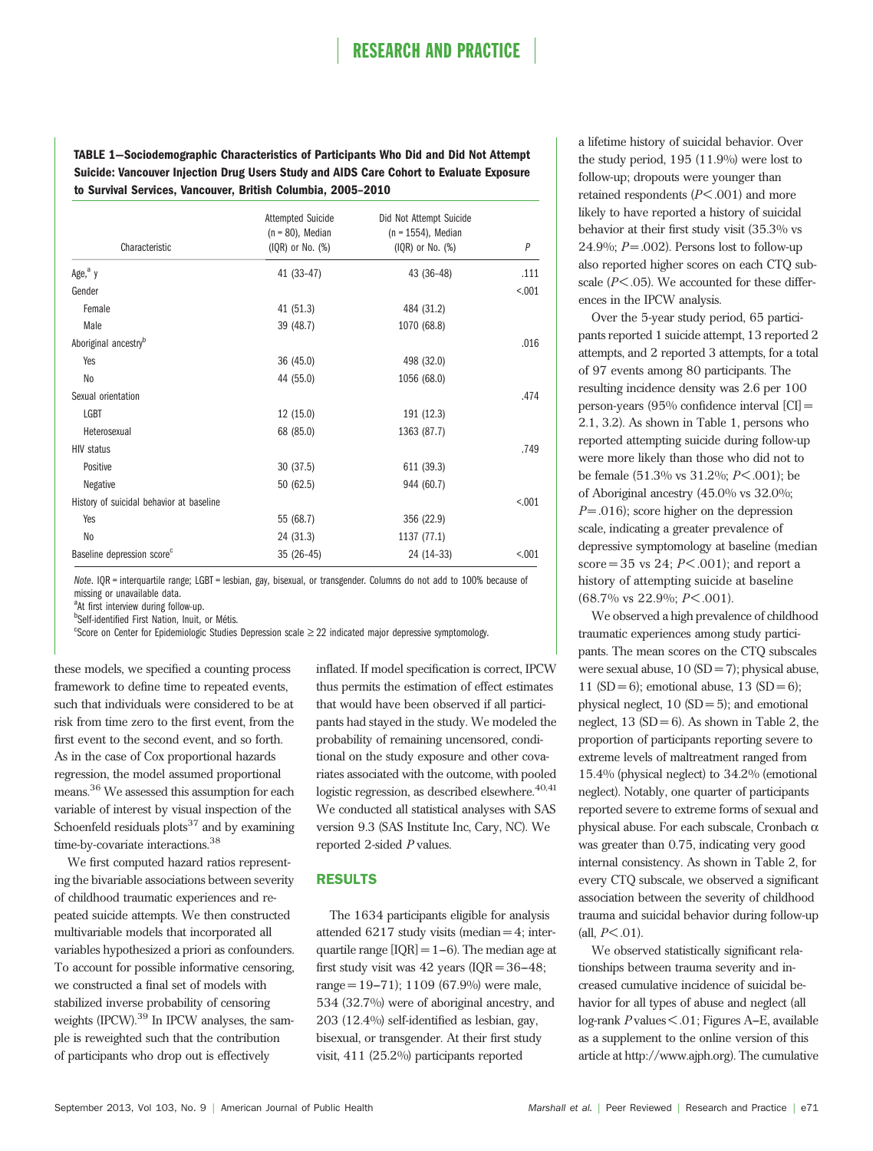TABLE 1—Sociodemographic Characteristics of Participants Who Did and Did Not Attempt Suicide: Vancouver Injection Drug Users Study and AIDS Care Cohort to Evaluate Exposure to Survival Services, Vancouver, British Columbia, 2005–2010

|                                          | <b>Attempted Suicide</b><br>$(n = 80)$ , Median | Did Not Attempt Suicide<br>$(n = 1554)$ , Median |         |
|------------------------------------------|-------------------------------------------------|--------------------------------------------------|---------|
| Characteristic                           | $(IQR)$ or No. $(\%)$                           | $(IQR)$ or No. $(\%)$                            | P       |
| Age, <sup>a</sup> y                      | 41 (33-47)                                      | 43 (36-48)                                       | .111    |
| Gender                                   |                                                 |                                                  | < 0.001 |
| Female                                   | 41 (51.3)                                       | 484 (31.2)                                       |         |
| Male                                     | 39 (48.7)                                       | 1070 (68.8)                                      |         |
| Aboriginal ancestry <sup>b</sup>         |                                                 |                                                  | .016    |
| Yes                                      | 36 (45.0)                                       | 498 (32.0)                                       |         |
| No                                       | 44 (55.0)                                       | 1056 (68.0)                                      |         |
| Sexual orientation                       |                                                 |                                                  | .474    |
| LGBT                                     | 12(15.0)                                        | 191 (12.3)                                       |         |
| Heterosexual                             | 68 (85.0)                                       | 1363 (87.7)                                      |         |
| <b>HIV status</b>                        |                                                 |                                                  | .749    |
| Positive                                 | 30 (37.5)                                       | 611 (39.3)                                       |         |
| Negative                                 | 50(62.5)                                        | 944 (60.7)                                       |         |
| History of suicidal behavior at baseline |                                                 |                                                  | < 0.001 |
| Yes                                      | 55 (68.7)                                       | 356 (22.9)                                       |         |
| No                                       | 24 (31.3)                                       | 1137 (77.1)                                      |         |
| Baseline depression score <sup>c</sup>   | $35(26-45)$                                     | 24 (14-33)                                       | < .001  |

Note. IQR = interquartile range; LGBT = lesbian, gay, bisexual, or transgender. Columns do not add to 100% because of missing or unavailable data.

<sup>a</sup>At first interview during follow-up.

**b**Self-identified First Nation, Inuit, or Métis.<br><sup>C</sup>Score on Center for Enidemiologic Studies

<sup>c</sup>Score on Center for Epidemiologic Studies Depression scale  $\geq$  22 indicated major depressive symptomology.

these models, we specified a counting process framework to define time to repeated events, such that individuals were considered to be at risk from time zero to the first event, from the first event to the second event, and so forth. As in the case of Cox proportional hazards regression, the model assumed proportional means.<sup>36</sup> We assessed this assumption for each variable of interest by visual inspection of the Schoenfeld residuals  $plots^{37}$  and by examining time-by-covariate interactions.<sup>38</sup>

We first computed hazard ratios representing the bivariable associations between severity of childhood traumatic experiences and repeated suicide attempts. We then constructed multivariable models that incorporated all variables hypothesized a priori as confounders. To account for possible informative censoring, we constructed a final set of models with stabilized inverse probability of censoring weights (IPCW).<sup>39</sup> In IPCW analyses, the sample is reweighted such that the contribution of participants who drop out is effectively

inflated. If model specification is correct, IPCW thus permits the estimation of effect estimates that would have been observed if all participants had stayed in the study. We modeled the probability of remaining uncensored, conditional on the study exposure and other covariates associated with the outcome, with pooled logistic regression, as described elsewhere. $40,41$ We conducted all statistical analyses with SAS version 9.3 (SAS Institute Inc, Cary, NC). We reported 2-sided P values.

### RESULTS

The 1634 participants eligible for analysis attended  $6217$  study visits (median  $=4$ ; interquartile range  $[IQR] = 1-6$ ). The median age at first study visit was  $42$  years (IQR =  $36-48$ ; range =  $19-71$ ; 1109 (67.9%) were male, 534 (32.7%) were of aboriginal ancestry, and 203 (12.4%) self-identified as lesbian, gay, bisexual, or transgender. At their first study visit, 411 (25.2%) participants reported

a lifetime history of suicidal behavior. Over the study period, 195 (11.9%) were lost to follow-up; dropouts were younger than retained respondents  $(P<.001)$  and more likely to have reported a history of suicidal behavior at their first study visit (35.3% vs 24.9%;  $P = .002$ ). Persons lost to follow-up also reported higher scores on each CTQ subscale  $(P<.05)$ . We accounted for these differences in the IPCW analysis.

Over the 5-year study period, 65 participants reported 1 suicide attempt, 13 reported 2 attempts, and 2 reported 3 attempts, for a total of 97 events among 80 participants. The resulting incidence density was 2.6 per 100 person-years (95% confidence interval [CI] = 2.1, 3.2). As shown in Table 1, persons who reported attempting suicide during follow-up were more likely than those who did not to be female  $(51.3\% \text{ vs } 31.2\%; P \leq .001)$ ; be of Aboriginal ancestry (45.0% vs 32.0%;  $P = .016$ ; score higher on the depression scale, indicating a greater prevalence of depressive symptomology at baseline (median score =  $35$  vs  $24$ ;  $P \le 0.001$ ); and report a history of attempting suicide at baseline  $(68.7\% \text{ vs } 22.9\%; P \leq .001).$ 

We observed a high prevalence of childhood traumatic experiences among study participants. The mean scores on the CTQ subscales were sexual abuse,  $10 (SD = 7)$ ; physical abuse, 11 (SD = 6); emotional abuse, 13 (SD = 6); physical neglect,  $10 (SD = 5)$ ; and emotional neglect,  $13$  (SD = 6). As shown in Table 2, the proportion of participants reporting severe to extreme levels of maltreatment ranged from 15.4% (physical neglect) to 34.2% (emotional neglect). Notably, one quarter of participants reported severe to extreme forms of sexual and physical abuse. For each subscale, Cronbach  $\alpha$ was greater than 0.75, indicating very good internal consistency. As shown in Table 2, for every CTQ subscale, we observed a significant association between the severity of childhood trauma and suicidal behavior during follow-up  $(all. P < .01)$ .

We observed statistically significant relationships between trauma severity and increased cumulative incidence of suicidal behavior for all types of abuse and neglect (all  $log$ -rank  $P$  values  $\leq$  .01; Figures A–E, available as a supplement to the online version of this article at [http://www.ajph.org\)](http://www.ajph.org). The cumulative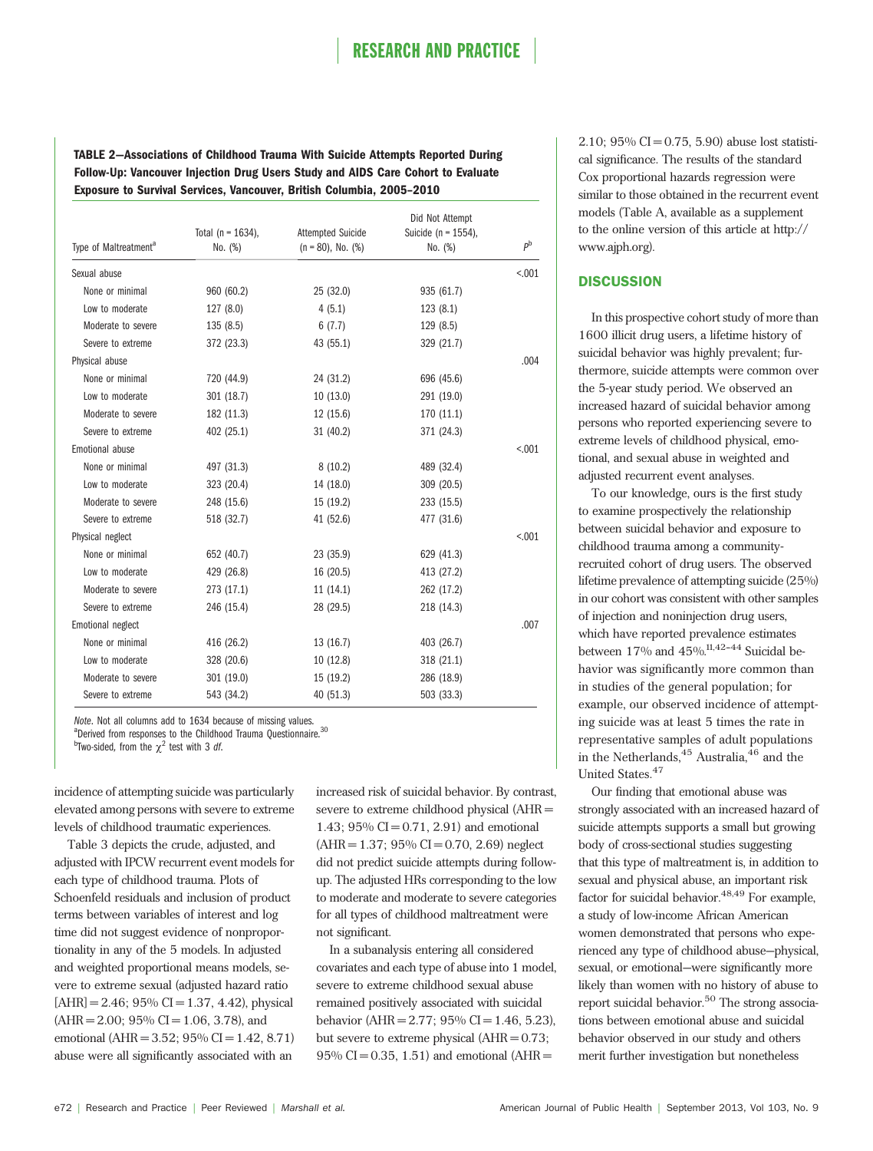TABLE 2—Associations of Childhood Trauma With Suicide Attempts Reported During Follow-Up: Vancouver Injection Drug Users Study and AIDS Care Cohort to Evaluate Exposure to Survival Services, Vancouver, British Columbia, 2005–2010

|                                   | Total ( $n = 1634$ ), | <b>Attempted Suicide</b> | Did Not Attempt<br>Suicide ( $n = 1554$ ), |             |
|-----------------------------------|-----------------------|--------------------------|--------------------------------------------|-------------|
| Type of Maltreatment <sup>a</sup> | No. (%)               | $(n = 80)$ , No. $(\%)$  | No. (%)                                    | $P^{\rm b}$ |
| Sexual abuse                      |                       |                          |                                            | < 0.001     |
| None or minimal                   | 960 (60.2)            | 25 (32.0)                | 935 (61.7)                                 |             |
| Low to moderate                   | 127 (8.0)             | 4(5.1)                   | 123(8.1)                                   |             |
| Moderate to severe                | 135(8.5)              | 6(7.7)                   | 129 (8.5)                                  |             |
| Severe to extreme                 | 372 (23.3)            | 43 (55.1)                | 329 (21.7)                                 |             |
| Physical abuse                    |                       |                          |                                            | .004        |
| None or minimal                   | 720 (44.9)            | 24 (31.2)                | 696 (45.6)                                 |             |
| Low to moderate                   | 301 (18.7)            | 10(13.0)                 | 291 (19.0)                                 |             |
| Moderate to severe                | 182 (11.3)            | 12(15.6)                 | 170 (11.1)                                 |             |
| Severe to extreme                 | 402 (25.1)            | 31 (40.2)                | 371 (24.3)                                 |             |
| Emotional abuse                   |                       |                          |                                            | < 0.01      |
| None or minimal                   | 497 (31.3)            | 8(10.2)                  | 489 (32.4)                                 |             |
| Low to moderate                   | 323 (20.4)            | 14 (18.0)                | 309 (20.5)                                 |             |
| Moderate to severe                | 248 (15.6)            | 15 (19.2)                | 233 (15.5)                                 |             |
| Severe to extreme                 | 518 (32.7)            | 41 (52.6)                | 477 (31.6)                                 |             |
| Physical neglect                  |                       |                          |                                            | < 0.001     |
| None or minimal                   | 652 (40.7)            | 23 (35.9)                | 629 (41.3)                                 |             |
| Low to moderate                   | 429 (26.8)            | 16(20.5)                 | 413 (27.2)                                 |             |
| Moderate to severe                | 273 (17.1)            | 11(14.1)                 | 262 (17.2)                                 |             |
| Severe to extreme                 | 246 (15.4)            | 28 (29.5)                | 218 (14.3)                                 |             |
| Emotional neglect                 |                       |                          |                                            | .007        |
| None or minimal                   | 416 (26.2)            | 13(16.7)                 | 403 (26.7)                                 |             |
| Low to moderate                   | 328 (20.6)            | 10(12.8)                 | 318 (21.1)                                 |             |
| Moderate to severe                | 301 (19.0)            | 15 (19.2)                | 286 (18.9)                                 |             |
| Severe to extreme                 | 543 (34.2)            | 40 (51.3)                | 503 (33.3)                                 |             |

Note. Not all columns add to 1634 because of missing values.

<sup>a</sup>Derived from responses to the Childhood Trauma Ouestionnaire.<sup>30</sup>

<sup>b</sup>Two-sided, from the  $\chi^2$  test with 3 df.

incidence of attempting suicide was particularly elevated among persons with severe to extreme levels of childhood traumatic experiences.

Table 3 depicts the crude, adjusted, and adjusted with IPCW recurrent event models for each type of childhood trauma. Plots of Schoenfeld residuals and inclusion of product terms between variables of interest and log time did not suggest evidence of nonproportionality in any of the 5 models. In adjusted and weighted proportional means models, severe to extreme sexual (adjusted hazard ratio  $[AHR] = 2.46$ ; 95% CI = 1.37, 4.42), physical  $(AHR = 2.00; 95\% CI = 1.06, 3.78)$ , and emotional (AHR = 3.52;  $95\%$  CI = 1.42, 8.71) abuse were all significantly associated with an

increased risk of suicidal behavior. By contrast, severe to extreme childhood physical (AHR = 1.43;  $95\%$  CI = 0.71, 2.91) and emotional  $(AHR = 1.37; 95\% CI = 0.70, 2.69)$  neglect did not predict suicide attempts during followup. The adjusted HRs corresponding to the low to moderate and moderate to severe categories for all types of childhood maltreatment were not significant.

In a subanalysis entering all considered covariates and each type of abuse into 1 model, severe to extreme childhood sexual abuse remained positively associated with suicidal behavior (AHR = 2.77;  $95\%$  CI = 1.46, 5.23), but severe to extreme physical  $(AHR = 0.73;$  $95\%$  CI = 0.35, 1.51) and emotional (AHR =

2.10;  $95\%$  CI = 0.75, 5.90) abuse lost statistical significance. The results of the standard Cox proportional hazards regression were similar to those obtained in the recurrent event models (Table A, available as a supplement to the online version of this article at [http://](http://www.ajph.org) [www.ajph.org\)](http://www.ajph.org).

### **DISCUSSION**

In this prospective cohort study of more than 1600 illicit drug users, a lifetime history of suicidal behavior was highly prevalent; furthermore, suicide attempts were common over the 5-year study period. We observed an increased hazard of suicidal behavior among persons who reported experiencing severe to extreme levels of childhood physical, emotional, and sexual abuse in weighted and adjusted recurrent event analyses.

To our knowledge, ours is the first study to examine prospectively the relationship between suicidal behavior and exposure to childhood trauma among a communityrecruited cohort of drug users. The observed lifetime prevalence of attempting suicide (25%) in our cohort was consistent with other samples of injection and noninjection drug users, which have reported prevalence estimates between  $17\%$  and  $45\%$ <sup>11,42-44</sup> Suicidal behavior was significantly more common than in studies of the general population; for example, our observed incidence of attempting suicide was at least 5 times the rate in representative samples of adult populations in the Netherlands,  $45$  Australia,  $46$  and the United States.<sup>47</sup>

Our finding that emotional abuse was strongly associated with an increased hazard of suicide attempts supports a small but growing body of cross-sectional studies suggesting that this type of maltreatment is, in addition to sexual and physical abuse, an important risk factor for suicidal behavior. $48,49$  For example, a study of low-income African American women demonstrated that persons who experienced any type of childhood abuse—physical, sexual, or emotional—were significantly more likely than women with no history of abuse to report suicidal behavior.<sup>50</sup> The strong associations between emotional abuse and suicidal behavior observed in our study and others merit further investigation but nonetheless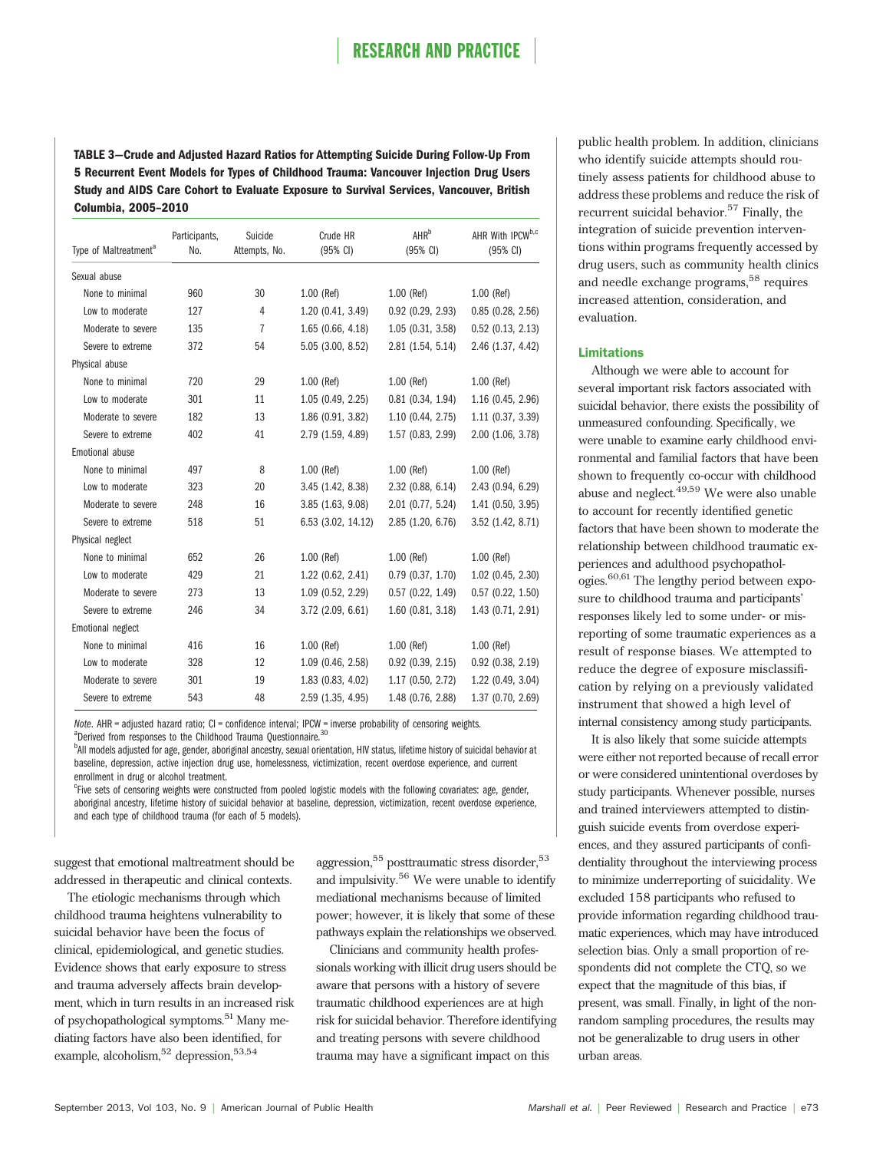TABLE 3—Crude and Adjusted Hazard Ratios for Attempting Suicide During Follow-Up From 5 Recurrent Event Models for Types of Childhood Trauma: Vancouver Injection Drug Users Study and AIDS Care Cohort to Evaluate Exposure to Survival Services, Vancouver, British Columbia, 2005–2010

| Type of Maltreatment <sup>a</sup> | Participants,<br>No. | Suicide<br>Attempts, No. | Crude HR<br>$(95% \text{ Cl})$ | <b>AHR</b> <sup>b</sup><br>$(95% \text{ Cl})$ | AHR With IPCW <sup>b,c</sup><br>$(95% \text{ Cl})$ |
|-----------------------------------|----------------------|--------------------------|--------------------------------|-----------------------------------------------|----------------------------------------------------|
| Sexual abuse                      |                      |                          |                                |                                               |                                                    |
| None to minimal                   | 960                  | 30                       | $1.00$ (Ref)                   | $1.00$ (Ref)                                  | $1.00$ (Ref)                                       |
| Low to moderate                   | 127                  | 4                        | 1.20 (0.41, 3.49)              | $0.92$ $(0.29, 2.93)$                         | $0.85$ (0.28, 2.56)                                |
| Moderate to severe                | 135                  | 7                        | $1.65$ (0.66, 4.18)            | 1.05(0.31, 3.58)                              | $0.52$ (0.13, 2.13)                                |
| Severe to extreme                 | 372                  | 54                       | 5.05 (3.00, 8.52)              | 2.81 (1.54, 5.14)                             | 2.46 (1.37, 4.42)                                  |
| Physical abuse                    |                      |                          |                                |                                               |                                                    |
| None to minimal                   | 720                  | 29                       | $1.00$ (Ref)                   | $1.00$ (Ref)                                  | $1.00$ (Ref)                                       |
| Low to moderate                   | 301                  | 11                       | 1.05 (0.49, 2.25)              | $0.81$ $(0.34, 1.94)$                         | 1.16 (0.45, 2.96)                                  |
| Moderate to severe                | 182                  | 13                       | 1.86 (0.91, 3.82)              | 1.10 (0.44, 2.75)                             | 1.11 (0.37, 3.39)                                  |
| Severe to extreme                 | 402                  | 41                       | 2.79 (1.59, 4.89)              | 1.57 (0.83, 2.99)                             | 2.00 (1.06, 3.78)                                  |
| Emotional abuse                   |                      |                          |                                |                                               |                                                    |
| None to minimal                   | 497                  | 8                        | $1.00$ (Ref)                   | $1.00$ (Ref)                                  | $1.00$ (Ref)                                       |
| Low to moderate                   | 323                  | 20                       | 3.45(1.42, 8.38)               | 2.32 (0.88, 6.14)                             | 2.43 (0.94, 6.29)                                  |
| Moderate to severe                | 248                  | 16                       | 3.85(1.63, 9.08)               | 2.01 (0.77, 5.24)                             | 1.41 (0.50, 3.95)                                  |
| Severe to extreme                 | 518                  | 51                       | 6.53 (3.02, 14.12)             | 2.85 (1.20, 6.76)                             | 3.52 (1.42, 8.71)                                  |
| Physical neglect                  |                      |                          |                                |                                               |                                                    |
| None to minimal                   | 652                  | 26                       | $1.00$ (Ref)                   | $1.00$ (Ref)                                  | $1.00$ (Ref)                                       |
| Low to moderate                   | 429                  | 21                       | 1.22 (0.62, 2.41)              | $0.79$ $(0.37, 1.70)$                         | 1.02 (0.45, 2.30)                                  |
| Moderate to severe                | 273                  | 13                       | 1.09 (0.52, 2.29)              | $0.57$ $(0.22, 1.49)$                         | $0.57$ $(0.22, 1.50)$                              |
| Severe to extreme                 | 246                  | 34                       | $3.72$ (2.09, 6.61)            | $1.60$ (0.81, 3.18)                           | 1.43 (0.71, 2.91)                                  |
| Emotional neglect                 |                      |                          |                                |                                               |                                                    |
| None to minimal                   | 416                  | 16                       | $1.00$ (Ref)                   | $1.00$ (Ref)                                  | $1.00$ (Ref)                                       |
| Low to moderate                   | 328                  | 12                       | 1.09 (0.46, 2.58)              | $0.92$ (0.39, 2.15)                           | $0.92$ (0.38, 2.19)                                |
| Moderate to severe                | 301                  | 19                       | 1.83 (0.83, 4.02)              | 1.17 (0.50, 2.72)                             | 1.22 (0.49, 3.04)                                  |
| Severe to extreme                 | 543                  | 48                       | 2.59 (1.35, 4.95)              | 1.48 (0.76, 2.88)                             | 1.37 (0.70, 2.69)                                  |

Note. AHR = adjusted hazard ratio; CI = confidence interval; IPCW = inverse probability of censoring weights.

<sup>a</sup>Derived from responses to the Childhood Trauma Questionnaire.<sup>30</sup>

<sup>b</sup>All models adjusted for age, gender, aboriginal ancestry, sexual orientation, HIV status, lifetime history of suicidal behavior at baseline, depression, active injection drug use, homelessness, victimization, recent overdose experience, and current enrollment in drug or alcohol treatment.

<sup>c</sup>Five sets of censoring weights were constructed from pooled logistic models with the following covariates: age, gender, aboriginal ancestry, lifetime history of suicidal behavior at baseline, depression, victimization, recent overdose experience, and each type of childhood trauma (for each of 5 models).

suggest that emotional maltreatment should be addressed in therapeutic and clinical contexts.

The etiologic mechanisms through which childhood trauma heightens vulnerability to suicidal behavior have been the focus of clinical, epidemiological, and genetic studies. Evidence shows that early exposure to stress and trauma adversely affects brain development, which in turn results in an increased risk of psychopathological symptoms.<sup>51</sup> Many mediating factors have also been identified, for example, alcoholism,  $52$  depression,  $53,54$ 

aggression,<sup>55</sup> posttraumatic stress disorder,<sup>53</sup> and impulsivity.<sup>56</sup> We were unable to identify mediational mechanisms because of limited power; however, it is likely that some of these pathways explain the relationships we observed.

Clinicians and community health professionals working with illicit drug users should be aware that persons with a history of severe traumatic childhood experiences are at high risk for suicidal behavior. Therefore identifying and treating persons with severe childhood trauma may have a significant impact on this

public health problem. In addition, clinicians who identify suicide attempts should routinely assess patients for childhood abuse to address these problems and reduce the risk of recurrent suicidal behavior.<sup>57</sup> Finally, the integration of suicide prevention interventions within programs frequently accessed by drug users, such as community health clinics and needle exchange programs,<sup>58</sup> requires increased attention, consideration, and evaluation.

### Limitations

Although we were able to account for several important risk factors associated with suicidal behavior, there exists the possibility of unmeasured confounding. Specifically, we were unable to examine early childhood environmental and familial factors that have been shown to frequently co-occur with childhood abuse and neglect.<sup>49,59</sup> We were also unable to account for recently identified genetic factors that have been shown to moderate the relationship between childhood traumatic experiences and adulthood psychopathologies.60,61 The lengthy period between exposure to childhood trauma and participants' responses likely led to some under- or misreporting of some traumatic experiences as a result of response biases. We attempted to reduce the degree of exposure misclassification by relying on a previously validated instrument that showed a high level of internal consistency among study participants.

It is also likely that some suicide attempts were either not reported because of recall error or were considered unintentional overdoses by study participants. Whenever possible, nurses and trained interviewers attempted to distinguish suicide events from overdose experiences, and they assured participants of confidentiality throughout the interviewing process to minimize underreporting of suicidality. We excluded 158 participants who refused to provide information regarding childhood traumatic experiences, which may have introduced selection bias. Only a small proportion of respondents did not complete the CTQ, so we expect that the magnitude of this bias, if present, was small. Finally, in light of the nonrandom sampling procedures, the results may not be generalizable to drug users in other urban areas.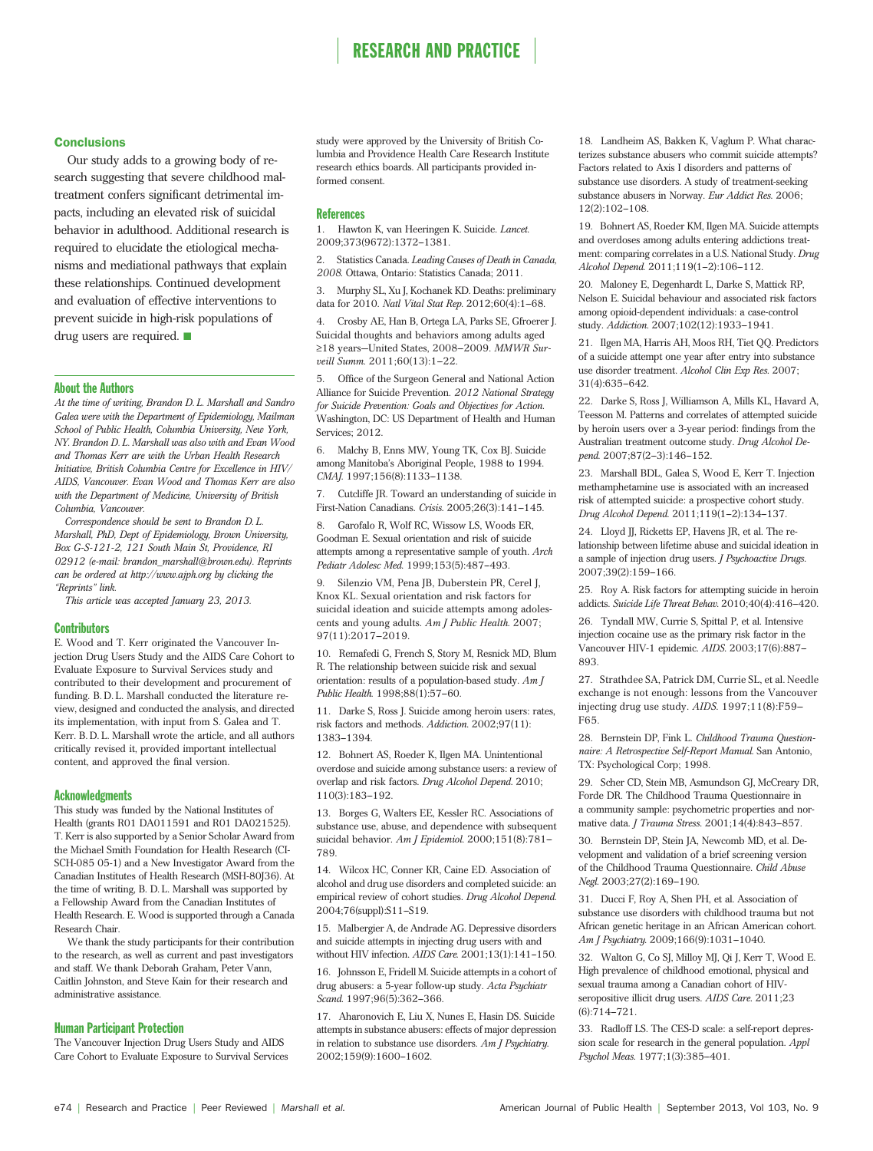### **Conclusions**

Our study adds to a growing body of research suggesting that severe childhood maltreatment confers significant detrimental impacts, including an elevated risk of suicidal behavior in adulthood. Additional research is required to elucidate the etiological mechanisms and mediational pathways that explain these relationships. Continued development and evaluation of effective interventions to prevent suicide in high-risk populations of drug users are required.  $\blacksquare$ 

#### About the Authors

At the time of writing, Brandon D. L. Marshall and Sandro Galea were with the Department of Epidemiology, Mailman School of Public Health, Columbia University, New York, NY. Brandon D. L. Marshall was also with and Evan Wood and Thomas Kerr are with the Urban Health Research Initiative, British Columbia Centre for Excellence in HIV/ AIDS, Vancouver. Evan Wood and Thomas Kerr are also with the Department of Medicine, University of British Columbia, Vancouver.

Correspondence should be sent to Brandon D. L. Marshall, PhD, Dept of Epidemiology, Brown University, Box G-S-121-2, 121 South Main St, Providence, RI 02912 (e-mail: [brandon\\_marshall@brown.edu](mailto:brandon_marshall@brown.edu)). Reprints can be ordered at http://www.ajph.org by clicking the "Reprints" link.

This article was accepted January 23, 2013.

#### **Contributors**

E. Wood and T. Kerr originated the Vancouver Injection Drug Users Study and the AIDS Care Cohort to Evaluate Exposure to Survival Services study and contributed to their development and procurement of funding. B. D. L. Marshall conducted the literature review, designed and conducted the analysis, and directed its implementation, with input from S. Galea and T. Kerr. B. D. L. Marshall wrote the article, and all authors critically revised it, provided important intellectual content, and approved the final version.

#### **Acknowledgments**

This study was funded by the National Institutes of Health (grants R01 DA011591 and R01 DA021525). T. Kerr is also supported by a Senior Scholar Award from the Michael Smith Foundation for Health Research (CI-SCH-085 05-1) and a New Investigator Award from the Canadian Institutes of Health Research (MSH-80J36). At the time of writing, B. D. L. Marshall was supported by a Fellowship Award from the Canadian Institutes of Health Research. E. Wood is supported through a Canada Research Chair.

We thank the study participants for their contribution to the research, as well as current and past investigators and staff. We thank Deborah Graham, Peter Vann, Caitlin Johnston, and Steve Kain for their research and administrative assistance.

### Human Participant Protection

The Vancouver Injection Drug Users Study and AIDS Care Cohort to Evaluate Exposure to Survival Services

study were approved by the University of British Columbia and Providence Health Care Research Institute research ethics boards. All participants provided informed consent.

#### **References**

1. Hawton K, van Heeringen K. Suicide. Lancet. 2009;373(9672):1372-1381.

Statistics Canada. Leading Causes of Death in Canada, 2008. Ottawa, Ontario: Statistics Canada; 2011.

3. Murphy SL, Xu J, Kochanek KD. Deaths: preliminary data for 2010. Natl Vital Stat Rep. 2012;60(4):1-68.

4. Crosby AE, Han B, Ortega LA, Parks SE, Gfroerer J. Suicidal thoughts and behaviors among adults aged  $\ge$ 18 years-United States, 2008-2009. MMWR Surveill Summ. 2011;60(13):1-22.

5. Office of the Surgeon General and National Action Alliance for Suicide Prevention. 2012 National Strategy for Suicide Prevention: Goals and Objectives for Action. Washington, DC: US Department of Health and Human Services; 2012.

6. Malchy B, Enns MW, Young TK, Cox BJ. Suicide among Manitoba's Aboriginal People, 1988 to 1994. CMAJ. 1997;156(8):1133-1138.

7. Cutcliffe JR. Toward an understanding of suicide in First-Nation Canadians. Crisis. 2005;26(3):141-145.

8. Garofalo R, Wolf RC, Wissow LS, Woods ER, Goodman E. Sexual orientation and risk of suicide attempts among a representative sample of youth. Arch Pediatr Adolesc Med. 1999;153(5):487-493.

9. Silenzio VM, Pena JB, Duberstein PR, Cerel J, Knox KL. Sexual orientation and risk factors for suicidal ideation and suicide attempts among adolescents and young adults. Am J Public Health. 2007; 97(11):2017-2019.

10. Remafedi G, French S, Story M, Resnick MD, Blum R. The relationship between suicide risk and sexual orientation: results of a population-based study. Am J Public Health. 1998;88(1):57-60.

11. Darke S, Ross J. Suicide among heroin users: rates, risk factors and methods. Addiction. 2002;97(11): 1383-1394

12. Bohnert AS, Roeder K, Ilgen MA. Unintentional overdose and suicide among substance users: a review of overlap and risk factors. Drug Alcohol Depend. 2010;  $110(3):183-192.$ 

13. Borges G, Walters EE, Kessler RC. Associations of substance use, abuse, and dependence with subsequent suicidal behavior.  $Am J$  Epidemiol. 2000;151(8):781-789.

14. Wilcox HC, Conner KR, Caine ED. Association of alcohol and drug use disorders and completed suicide: an empirical review of cohort studies. Drug Alcohol Depend. 2004;76(suppl):S11-S19.

15. Malbergier A, de Andrade AG. Depressive disorders and suicide attempts in injecting drug users with and without HIV infection. AIDS Care. 2001;13(1):141-150.

16. Johnsson E, Fridell M. Suicide attempts in a cohort of drug abusers: a 5-year follow-up study. Acta Psychiatr Scand. 1997;96(5):362-366.

17. Aharonovich E, Liu X, Nunes E, Hasin DS. Suicide attempts in substance abusers: effects of major depression in relation to substance use disorders. Am J Psychiatry. 2002;159(9):1600-1602.

18. Landheim AS, Bakken K, Vaglum P. What characterizes substance abusers who commit suicide attempts? Factors related to Axis I disorders and patterns of substance use disorders. A study of treatment-seeking substance abusers in Norway. Eur Addict Res. 2006;  $12(2):102-108.$ 

19. Bohnert AS, Roeder KM, Ilgen MA. Suicide attempts and overdoses among adults entering addictions treatment: comparing correlates in a U.S. National Study. Drug Alcohol Depend. 2011;119(1-2):106-112.

20. Maloney E, Degenhardt L, Darke S, Mattick RP, Nelson E. Suicidal behaviour and associated risk factors among opioid-dependent individuals: a case-control study. Addiction. 2007;102(12):1933-1941.

21. Ilgen MA, Harris AH, Moos RH, Tiet QQ. Predictors of a suicide attempt one year after entry into substance use disorder treatment. Alcohol Clin Exp Res. 2007;  $31(4):635-642.$ 

22. Darke S, Ross J, Williamson A, Mills KL, Havard A, Teesson M. Patterns and correlates of attempted suicide by heroin users over a 3-year period: findings from the Australian treatment outcome study. Drug Alcohol Depend. 2007;87(2-3):146-152.

23. Marshall BDL, Galea S, Wood E, Kerr T. Injection methamphetamine use is associated with an increased risk of attempted suicide: a prospective cohort study. Drug Alcohol Depend. 2011;119(1-2):134-137.

24. Lloyd JJ, Ricketts EP, Havens JR, et al. The relationship between lifetime abuse and suicidal ideation in a sample of injection drug users. *J Psychoactive Drugs*. 2007;39(2):159-166.

25. Roy A. Risk factors for attempting suicide in heroin addicts. Suicide Life Threat Behav.  $2010;40(4):416-420$ .

26. Tyndall MW, Currie S, Spittal P, et al. Intensive injection cocaine use as the primary risk factor in the Vancouver HIV-1 epidemic. AIDS. 2003;17(6):887-893.

27. Strathdee SA, Patrick DM, Currie SL, et al. Needle exchange is not enough: lessons from the Vancouver injecting drug use study. AIDS. 1997;11(8):F59--F65.

28. Bernstein DP, Fink L. Childhood Trauma Questionnaire: A Retrospective Self-Report Manual. San Antonio, TX: Psychological Corp; 1998.

29. Scher CD, Stein MB, Asmundson GJ, McCreary DR, Forde DR. The Childhood Trauma Questionnaire in a community sample: psychometric properties and normative data. *J Trauma Stress*. 2001;14(4):843-857.

30. Bernstein DP, Stein JA, Newcomb MD, et al. Development and validation of a brief screening version of the Childhood Trauma Questionnaire. Child Abuse Negl. 2003;27(2):169-190.

31. Ducci F, Roy A, Shen PH, et al. Association of substance use disorders with childhood trauma but not African genetic heritage in an African American cohort. Am J Psychiatry. 2009;166(9):1031-1040.

32. Walton G, Co SJ, Milloy MJ, Qi J, Kerr T, Wood E. High prevalence of childhood emotional, physical and sexual trauma among a Canadian cohort of HIVseropositive illicit drug users. AIDS Care. 2011;23  $(6):714 - 721.$ 

33. Radloff LS. The CES-D scale: a self-report depression scale for research in the general population. Appl Psychol Meas. 1977;1(3):385-401.